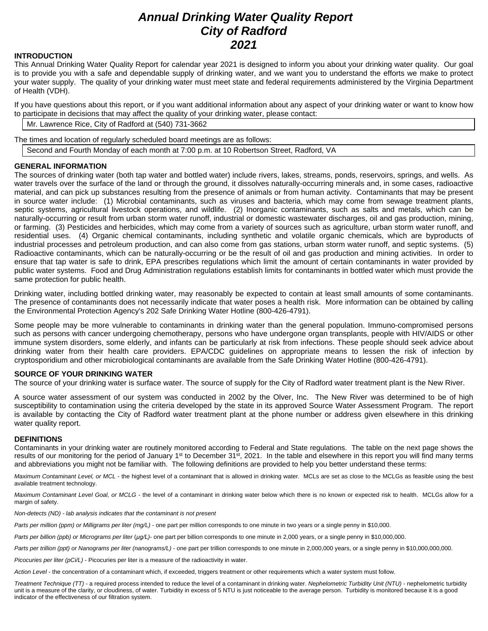# *Annual Drinking Water Quality Report City of Radford 2021*

#### **INTRODUCTION**

This Annual Drinking Water Quality Report for calendar year 2021 is designed to inform you about your drinking water quality. Our goal is to provide you with a safe and dependable supply of drinking water, and we want you to understand the efforts we make to protect your water supply. The quality of your drinking water must meet state and federal requirements administered by the Virginia Department of Health (VDH).

If you have questions about this report, or if you want additional information about any aspect of your drinking water or want to know how to participate in decisions that may affect the quality of your drinking water, please contact:

Mr. Lawrence Rice, City of Radford at (540) 731-3662

The times and location of regularly scheduled board meetings are as follows:

Second and Fourth Monday of each month at 7:00 p.m. at 10 Robertson Street, Radford, VA

## **GENERAL INFORMATION**

The sources of drinking water (both tap water and bottled water) include rivers, lakes, streams, ponds, reservoirs, springs, and wells. As water travels over the surface of the land or through the ground, it dissolves naturally-occurring minerals and, in some cases, radioactive material, and can pick up substances resulting from the presence of animals or from human activity. Contaminants that may be present in source water include: (1) Microbial contaminants, such as viruses and bacteria, which may come from sewage treatment plants, septic systems, agricultural livestock operations, and wildlife. (2) Inorganic contaminants, such as salts and metals, which can be naturally-occurring or result from urban storm water runoff, industrial or domestic wastewater discharges, oil and gas production, mining, or farming. (3) Pesticides and herbicides, which may come from a variety of sources such as agriculture, urban storm water runoff, and residential uses. (4) Organic chemical contaminants, including synthetic and volatile organic chemicals, which are byproducts of industrial processes and petroleum production, and can also come from gas stations, urban storm water runoff, and septic systems. (5) Radioactive contaminants, which can be naturally-occurring or be the result of oil and gas production and mining activities. In order to ensure that tap water is safe to drink, EPA prescribes regulations which limit the amount of certain contaminants in water provided by public water systems. Food and Drug Administration regulations establish limits for contaminants in bottled water which must provide the same protection for public health.

Drinking water, including bottled drinking water, may reasonably be expected to contain at least small amounts of some contaminants. The presence of contaminants does not necessarily indicate that water poses a health risk. More information can be obtained by calling the Environmental Protection Agency's 202 Safe Drinking Water Hotline (800-426-4791).

Some people may be more vulnerable to contaminants in drinking water than the general population. Immuno-compromised persons such as persons with cancer undergoing chemotherapy, persons who have undergone organ transplants, people with HIV/AIDS or other immune system disorders, some elderly, and infants can be particularly at risk from infections. These people should seek advice about drinking water from their health care providers. EPA/CDC guidelines on appropriate means to lessen the risk of infection by cryptosporidium and other microbiological contaminants are available from the Safe Drinking Water Hotline (800-426-4791).

# **SOURCE OF YOUR DRINKING WATER**

The source of your drinking water is surface water. The source of supply for the City of Radford water treatment plant is the New River.

A source water assessment of our system was conducted in 2002 by the Olver, Inc. The New River was determined to be of high susceptibility to contamination using the criteria developed by the state in its approved Source Water Assessment Program. The report is available by contacting the City of Radford water treatment plant at the phone number or address given elsewhere in this drinking water quality report.

#### **DEFINITIONS**

Contaminants in your drinking water are routinely monitored according to Federal and State regulations. The table on the next page shows the results of our monitoring for the period of January 1<sup>st</sup> to December 31<sup>st</sup>, 2021. In the table and elsewhere in this report you will find many terms and abbreviations you might not be familiar with. The following definitions are provided to help you better understand these terms:

*Maximum Contaminant Level, or MCL* - the highest level of a contaminant that is allowed in drinking water. MCLs are set as close to the MCLGs as feasible using the best available treatment technology.

*Maximum Contaminant Level Goal, or MCLG -* the level of a contaminant in drinking water below which there is no known or expected risk to health. MCLGs allow for a margin of safety.

*Non-detects (ND) - lab analysis indicates that the contaminant is not present*

*Parts per million (ppm) or Milligrams per liter (mg/L)* - one part per million corresponds to one minute in two years or a single penny in \$10,000.

*Parts per billion (ppb) or Micrograms per liter* (*µg/L)*- one part per billion corresponds to one minute in 2,000 years, or a single penny in \$10,000,000.

Parts per trillion (ppt) or Nanograms per liter (nanograms/L) - one part per trillion corresponds to one minute in 2,000,000 years, or a single penny in \$10,000,000,000.

*Picocuries per liter (pCi/L)* - Picocuries per liter is a measure of the radioactivity in water.

*Action Level* - the concentration of a contaminant which, if exceeded, triggers treatment or other requirements which a water system must follow.

*Treatment Technique (TT)* - a required process intended to reduce the level of a contaminant in drinking water. *Nephelometric Turbidity Unit (NTU)* - nephelometric turbidity unit is a measure of the clarity, or cloudiness, of water. Turbidity in excess of 5 NTU is just noticeable to the average person. Turbidity is monitored because it is a good indicator of the effectiveness of our filtration system.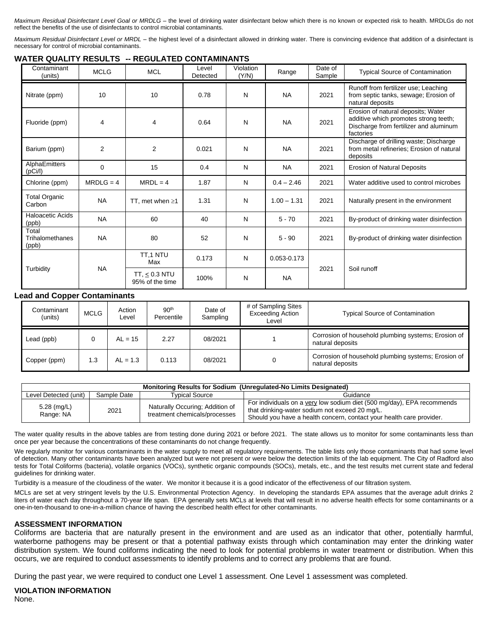*Maximum Residual Disinfectant Level Goal or MRDLG –* the level of drinking water disinfectant below which there is no known or expected risk to health. MRDLGs do not reflect the benefits of the use of disinfectants to control microbial contaminants.

*Maximum Residual Disinfectant Level or MRDL –* the highest level of a disinfectant allowed in drinking water. There is convincing evidence that addition of a disinfectant is necessary for control of microbial contaminants.

# **WATER QUALITY RESULTS -- REGULATED CONTAMINANTS**

| Contaminant<br>(units)            | <b>MCLG</b>    | <b>MCL</b>                            | Level<br>Detected | Violation<br>(Y/N) | Range         | Date of<br>Sample | <b>Typical Source of Contamination</b>                                                                                             |
|-----------------------------------|----------------|---------------------------------------|-------------------|--------------------|---------------|-------------------|------------------------------------------------------------------------------------------------------------------------------------|
| Nitrate (ppm)                     | 10             | 10                                    | 0.78              | N                  | <b>NA</b>     | 2021              | Runoff from fertilizer use; Leaching<br>from septic tanks, sewage; Erosion of<br>natural deposits                                  |
| Fluoride (ppm)                    | 4              | 4                                     | 0.64              | N                  | <b>NA</b>     | 2021              | Erosion of natural deposits; Water<br>additive which promotes strong teeth;<br>Discharge from fertilizer and aluminum<br>factories |
| Barium (ppm)                      | $\overline{2}$ | $\overline{2}$                        | 0.021             | N                  | <b>NA</b>     | 2021              | Discharge of drilling waste; Discharge<br>from metal refineries; Erosion of natural<br>deposits                                    |
| AlphaEmitters<br>(pCi/l)          | $\Omega$       | 15                                    | 0.4               | N                  | <b>NA</b>     | 2021              | <b>Erosion of Natural Deposits</b>                                                                                                 |
| Chlorine (ppm)                    | $MRDLG = 4$    | $MRDL = 4$                            | 1.87              | N                  | $0.4 - 2.46$  | 2021              | Water additive used to control microbes                                                                                            |
| <b>Total Organic</b><br>Carbon    | <b>NA</b>      | TT, met when $\geq 1$                 | 1.31              | N                  | $1.00 - 1.31$ | 2021              | Naturally present in the environment                                                                                               |
| <b>Haloacetic Acids</b><br>(ppb)  | <b>NA</b>      | 60                                    | 40                | N                  | $5 - 70$      | 2021              | By-product of drinking water disinfection                                                                                          |
| Total<br>Trihalomethanes<br>(ppb) | <b>NA</b>      | 80                                    | 52                | N                  | $5 - 90$      | 2021              | By-product of drinking water disinfection                                                                                          |
| Turbidity                         | <b>NA</b>      | TT.1 NTU<br>Max                       | 0.173             | N                  | 0.053-0.173   | 2021              |                                                                                                                                    |
|                                   |                | TT, $\leq$ 0.3 NTU<br>95% of the time | 100%              | N                  | <b>NA</b>     |                   | Soil runoff                                                                                                                        |

## **Lead and Copper Contaminants**

| Contaminant<br>(units) | <b>MCLG</b> | Action<br>Level | 90 <sup>th</sup><br>Percentile | Date of<br>Sampling | # of Sampling Sites<br><b>Exceeding Action</b><br>Level | <b>Typical Source of Contamination</b>                                  |
|------------------------|-------------|-----------------|--------------------------------|---------------------|---------------------------------------------------------|-------------------------------------------------------------------------|
| Lead (ppb)             |             | $AL = 15$       | 2.27                           | 08/2021             |                                                         | Corrosion of household plumbing systems; Erosion of<br>natural deposits |
| Copper (ppm)           | 1.3         | $AL = 1.3$      | 0.113                          | 08/2021             |                                                         | Corrosion of household plumbing systems; Erosion of<br>natural deposits |

| Monitoring Results for Sodium (Unregulated-No Limits Designated) |             |                                                                  |                                                                                                                                                                                                  |  |  |  |  |  |
|------------------------------------------------------------------|-------------|------------------------------------------------------------------|--------------------------------------------------------------------------------------------------------------------------------------------------------------------------------------------------|--|--|--|--|--|
| Level Detected (unit)                                            | Sample Date | <b>Typical Source</b>                                            | Guidance                                                                                                                                                                                         |  |  |  |  |  |
| 5.28 $(mg/L)$<br>Range: NA                                       | 2021        | Naturally Occuring; Addition of<br>treatment chemicals/processes | For individuals on a very low sodium diet (500 mg/day), EPA recommends<br>that drinking-water sodium not exceed 20 mg/L.<br>Should you have a health concern, contact your health care provider. |  |  |  |  |  |

The water quality results in the above tables are from testing done during 2021 or before 2021. The state allows us to monitor for some contaminants less than once per year because the concentrations of these contaminants do not change frequently.

We regularly monitor for various contaminants in the water supply to meet all regulatory requirements. The table lists only those contaminants that had some level of detection. Many other contaminants have been analyzed but were not present or were below the detection limits of the lab equipment. The City of Radford also tests for Total Coliforms (bacteria), volatile organics (VOCs), synthetic organic compounds (SOCs), metals, etc., and the test results met current state and federal guidelines for drinking water.

Turbidity is a measure of the cloudiness of the water. We monitor it because it is a good indicator of the effectiveness of our filtration system.

MCLs are set at very stringent levels by the U.S. Environmental Protection Agency. In developing the standards EPA assumes that the average adult drinks 2 liters of water each day throughout a 70-year life span. EPA generally sets MCLs at levels that will result in no adverse health effects for some contaminants or a one-in-ten-thousand to one-in-a-million chance of having the described health effect for other contaminants.

#### **ASSESSMENT INFORMATION**

Coliforms are bacteria that are naturally present in the environment and are used as an indicator that other, potentially harmful, waterborne pathogens may be present or that a potential pathway exists through which contamination may enter the drinking water distribution system. We found coliforms indicating the need to look for potential problems in water treatment or distribution. When this occurs, we are required to conduct assessments to identify problems and to correct any problems that are found.

During the past year, we were required to conduct one Level 1 assessment. One Level 1 assessment was completed.

**VIOLATION INFORMATION** None.